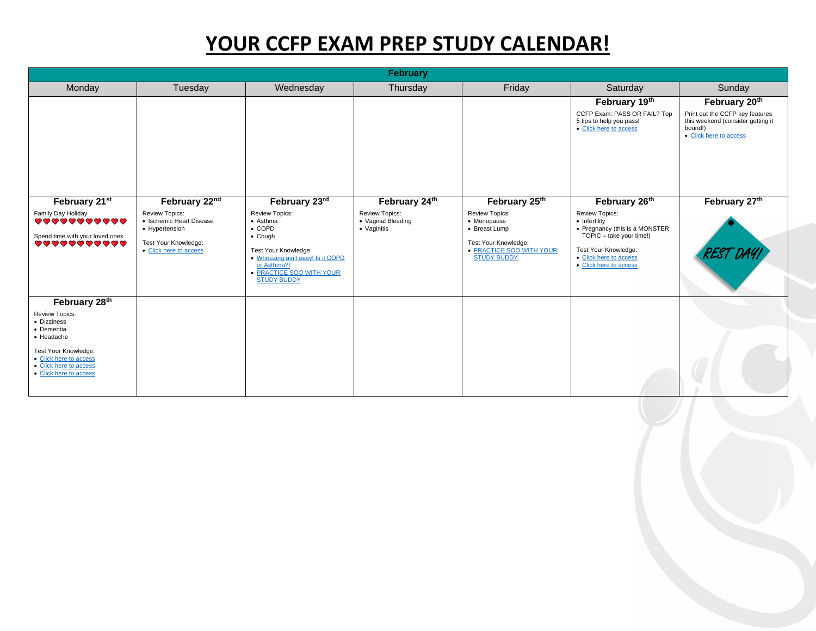## **YOUR CCFP EXAM PREP STUDY CALENDAR!**

| <b>February</b>                                                                                                                                                                         |                                                                                                                       |                                                                                                                                                                                              |                                                            |                                                                                                                          |                                                                                                                                                                                    |                                                                                                                            |
|-----------------------------------------------------------------------------------------------------------------------------------------------------------------------------------------|-----------------------------------------------------------------------------------------------------------------------|----------------------------------------------------------------------------------------------------------------------------------------------------------------------------------------------|------------------------------------------------------------|--------------------------------------------------------------------------------------------------------------------------|------------------------------------------------------------------------------------------------------------------------------------------------------------------------------------|----------------------------------------------------------------------------------------------------------------------------|
| Monday                                                                                                                                                                                  | Tuesday                                                                                                               | Wednesday                                                                                                                                                                                    | Thursday                                                   | Friday                                                                                                                   | Saturday                                                                                                                                                                           | Sunday                                                                                                                     |
|                                                                                                                                                                                         |                                                                                                                       |                                                                                                                                                                                              |                                                            |                                                                                                                          | February 19th<br>CCFP Exam: PASS OR FAIL? Top<br>5 tips to help you pass!<br>• Click here to access                                                                                | February 20th<br>Print out the CCFP key features<br>this weekend (consider getting it<br>bound!)<br>• Click here to access |
| February 21st                                                                                                                                                                           | February 22nd                                                                                                         | February 23rd                                                                                                                                                                                | February 24th                                              | February 25th                                                                                                            | February 26th                                                                                                                                                                      | February 27th                                                                                                              |
| Family Day Holiday<br><b>***********</b><br>Spend time with your loved ones<br><b>***********</b>                                                                                       | <b>Review Topics:</b><br>• Ischemic Heart Disease<br>• Hypertension<br>Test Your Knowledge:<br>• Click here to access | <b>Review Topics:</b><br>• Asthma<br>$\bullet$ COPD<br>• Cough<br>Test Your Knowledge:<br>• Wheezing ain't easy! Is it COPD<br>or Asthma?!<br>• PRACTICE SOO WITH YOUR<br><b>STUDY BUDDY</b> | <b>Review Topics:</b><br>• Vaginal Bleeding<br>• Vaginitis | Review Topics:<br>• Menopause<br>• Breast Lump<br>Test Your Knowledge:<br>• PRACTICE SOO WITH YOUR<br><b>STUDY BUDDY</b> | <b>Review Topics:</b><br>• Infertility<br>• Pregnancy (this is a MONSTER<br>$TOPIC - take your time!)$<br>Test Your Knowledge:<br>• Click here to access<br>• Click here to access | REST DAY                                                                                                                   |
| February 28th<br><b>Review Topics:</b><br>• Dizziness<br>• Dementia<br>• Headache<br>Test Your Knowledge:<br>• Click here to access<br>• Click here to access<br>• Click here to access |                                                                                                                       |                                                                                                                                                                                              |                                                            |                                                                                                                          |                                                                                                                                                                                    |                                                                                                                            |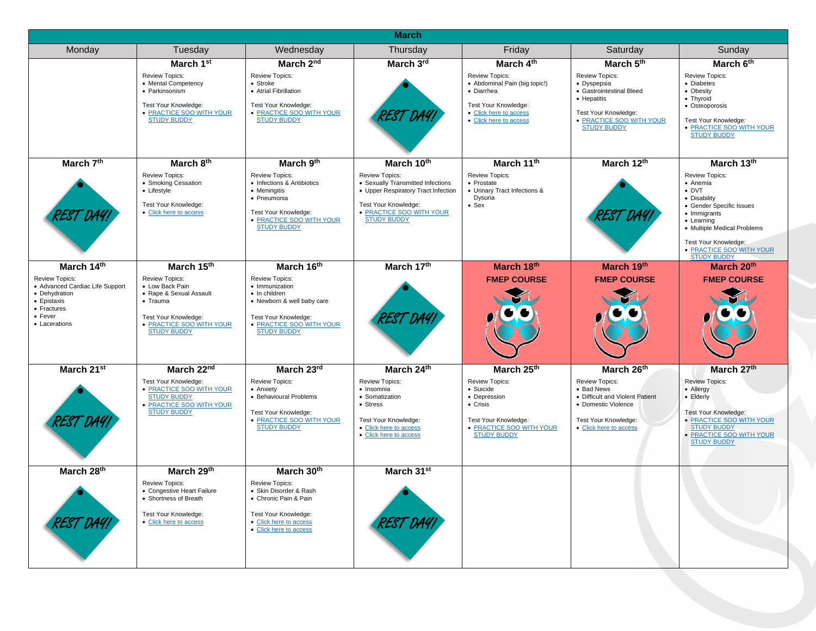| <b>March</b>                                                                                                                        |                                                                                                                                                                   |                                                                                                                                                                       |                                                                                                                                                                      |                                                                                                                                                               |                                                                                                                                                                        |                                                                                                                                                                                                                                       |  |
|-------------------------------------------------------------------------------------------------------------------------------------|-------------------------------------------------------------------------------------------------------------------------------------------------------------------|-----------------------------------------------------------------------------------------------------------------------------------------------------------------------|----------------------------------------------------------------------------------------------------------------------------------------------------------------------|---------------------------------------------------------------------------------------------------------------------------------------------------------------|------------------------------------------------------------------------------------------------------------------------------------------------------------------------|---------------------------------------------------------------------------------------------------------------------------------------------------------------------------------------------------------------------------------------|--|
| Monday                                                                                                                              | Tuesday                                                                                                                                                           | Wednesday                                                                                                                                                             | Thursday                                                                                                                                                             | Friday                                                                                                                                                        | Saturday                                                                                                                                                               | Sunday                                                                                                                                                                                                                                |  |
|                                                                                                                                     | March 1 <sup>st</sup><br><b>Review Topics:</b><br>• Mental Competency<br>• Parkinsonism<br>Test Your Knowledge:<br>• PRACTICE SOO WITH YOUR<br><b>STUDY BUDDY</b> | March 2 <sup>nd</sup><br><b>Review Topics:</b><br>$\bullet$ Stroke<br>• Atrial Fibrillation<br>Test Your Knowledge:<br>• PRACTICE SOO WITH YOUR<br><b>STUDY BUDDY</b> | March 3rd<br>REST DAY!                                                                                                                                               | March 4th<br><b>Review Topics:</b><br>• Abdominal Pain (big topic!)<br>• Diarrhea<br>Test Your Knowledge:<br>• Click here to access<br>• Click here to access | March 5th<br><b>Review Topics:</b><br>• Dyspepsia<br>• Gastrointestinal Bleed<br>• Hepatitis<br>Test Your Knowledge:<br>· PRACTICE SOO WITH YOUR<br><b>STUDY BUDDY</b> | March 6th<br><b>Review Topics:</b><br>• Diabetes<br>• Obesity<br>• Thyroid<br>• Osteoporosis<br>Test Your Knowledge:<br>· PRACTICE SOO WITH YOUR<br><b>STUDY BUDDY</b>                                                                |  |
| March 7th                                                                                                                           | March 8th                                                                                                                                                         | March 9th                                                                                                                                                             | March 10th                                                                                                                                                           | March 11th                                                                                                                                                    | March 12th                                                                                                                                                             | March 13th                                                                                                                                                                                                                            |  |
| EST DAY.                                                                                                                            | Review Topics:<br>• Smoking Cessation<br>• Lifestyle<br>Test Your Knowledge:<br>• Click here to access                                                            | <b>Review Topics:</b><br>• Infections & Antibiotics<br>• Meningitis<br>• Pneumonia<br>Test Your Knowledge:<br>· PRACTICE SOO WITH YOUR<br><b>STUDY BUDDY</b>          | Review Topics:<br>• Sexually Transmitted Infections<br>• Upper Respiratory Tract Infection<br>Test Your Knowledge:<br>· PRACTICE SOO WITH YOUR<br><b>STUDY BUDDY</b> | <b>Review Topics:</b><br>• Prostate<br>• Urinary Tract Infections &<br>Dysuria<br>$\bullet$ Sex                                                               | REST DAY!                                                                                                                                                              | <b>Review Topics:</b><br>• Anemia<br>$\bullet$ DVT<br>• Disability<br>• Gender Specific Issues<br>• Immigrants<br>• Learning<br>• Multiple Medical Problems<br>Test Your Knowledge:<br>· PRACTICE SOO WITH YOUR<br><b>STUDY BUDDY</b> |  |
| March $14th$                                                                                                                        | March 15th                                                                                                                                                        | March 16th                                                                                                                                                            | March 17th                                                                                                                                                           | March 18th                                                                                                                                                    | March 19th                                                                                                                                                             | March 20th                                                                                                                                                                                                                            |  |
| <b>Review Topics:</b><br>• Advanced Cardiac Life Support<br>• Dehydration<br>• Epistaxis<br>• Fractures<br>• Fever<br>• Lacerations | <b>Review Topics:</b><br>• Low Back Pain<br>• Rape & Sexual Assault<br>• Trauma<br>Test Your Knowledge:<br>· PRACTICE SOO WITH YOUR<br><b>STUDY BUDDY</b>         | <b>Review Topics:</b><br>• Immunization<br>• In children<br>• Newborn & well baby care<br>Test Your Knowledge:<br>· PRACTICE SOO WITH YOUR<br><b>STUDY BUDDY</b>      | REST DAY!                                                                                                                                                            | <b>FMEP COURSE</b>                                                                                                                                            | <b>FMEP COURSE</b>                                                                                                                                                     | <b>FMEP COURSE</b>                                                                                                                                                                                                                    |  |
| March 21st                                                                                                                          | March 22nd                                                                                                                                                        | March 23rd                                                                                                                                                            | March 24th                                                                                                                                                           | March 25th                                                                                                                                                    | March 26th                                                                                                                                                             | March 27th                                                                                                                                                                                                                            |  |
| EST DAY!                                                                                                                            | Test Your Knowledge:<br>· PRACTICE SOO WITH YOUR<br><b>STUDY BUDDY</b><br>• PRACTICE SOO WITH YOUR<br><b>STUDY BUDDY</b>                                          | Review Topics:<br>• Anxiety<br>• Behavioural Problems<br>Test Your Knowledge:<br>• PRACTICE SOO WITH YOUR<br><b>STUDY BUDDY</b>                                       | <b>Review Topics:</b><br>· Insomnia<br>• Somatization<br>• Stress<br>Test Your Knowledge:<br>· Click here to access<br>• Click here to access                        | <b>Review Topics:</b><br>• Suicide<br>• Depression<br>• Crisis<br>Test Your Knowledge:<br>· PRACTICE SOO WITH YOUR<br><b>STUDY BUDDY</b>                      | <b>Review Topics:</b><br>• Bad News<br>• Difficult and Violent Patient<br>• Domestic Violence<br>Test Your Knowledge:<br>• Click here to access                        | <b>Review Topics:</b><br>• Allergy<br>• Elderly<br>Test Your Knowledge:<br>• PRACTICE SOO WITH YOUR<br><b>STUDY BUDDY</b><br>• PRACTICE SOO WITH YOUR<br><b>STUDY BUDDY</b>                                                           |  |
| March 28th                                                                                                                          | March 29th                                                                                                                                                        | March 30th                                                                                                                                                            | March 31st                                                                                                                                                           |                                                                                                                                                               |                                                                                                                                                                        |                                                                                                                                                                                                                                       |  |
| REST DAY!                                                                                                                           | <b>Review Topics:</b><br>• Congestive Heart Failure<br>• Shortness of Breath<br>Test Your Knowledge:<br>· Click here to access                                    | <b>Review Topics:</b><br>• Skin Disorder & Rash<br>• Chronic Pain & Pain<br>Test Your Knowledge:<br>• Click here to access<br>• Click here to access                  | REST DAY!                                                                                                                                                            |                                                                                                                                                               |                                                                                                                                                                        |                                                                                                                                                                                                                                       |  |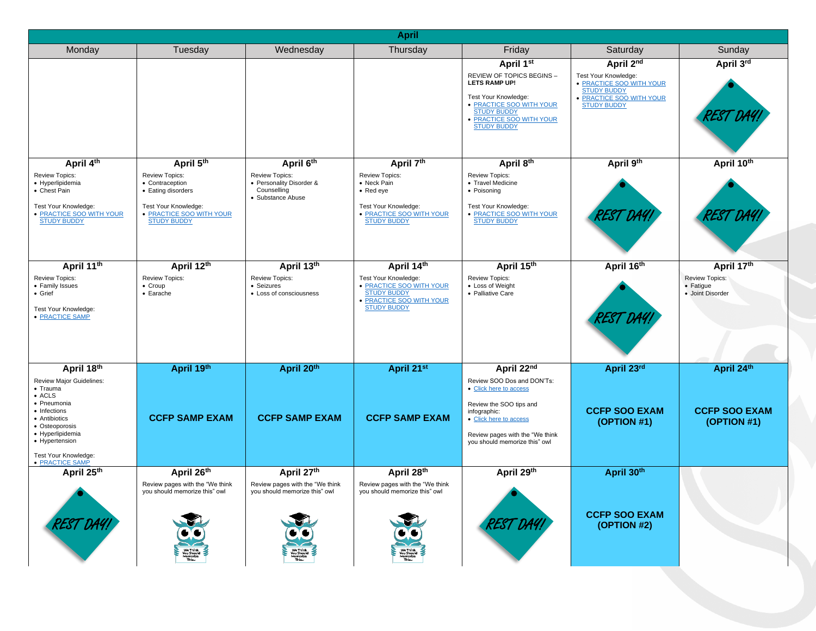| <b>April</b>                                                                                                                                                   |                                                                                                                                                     |                                                                                                                              |                                                                                                                              |                                                                                                                                                                                                   |                                                                                                                                       |                                                 |  |
|----------------------------------------------------------------------------------------------------------------------------------------------------------------|-----------------------------------------------------------------------------------------------------------------------------------------------------|------------------------------------------------------------------------------------------------------------------------------|------------------------------------------------------------------------------------------------------------------------------|---------------------------------------------------------------------------------------------------------------------------------------------------------------------------------------------------|---------------------------------------------------------------------------------------------------------------------------------------|-------------------------------------------------|--|
| Monday                                                                                                                                                         | Tuesday                                                                                                                                             | Wednesday                                                                                                                    | Thursday                                                                                                                     | Friday                                                                                                                                                                                            | Saturday                                                                                                                              | Sunday                                          |  |
|                                                                                                                                                                |                                                                                                                                                     |                                                                                                                              |                                                                                                                              | April 1st<br>REVIEW OF TOPICS BEGINS -<br><b>LETS RAMP UP!</b><br>Test Your Knowledge:<br>· PRACTICE SOO WITH YOUR<br><b>STUDY BUDDY</b><br>· <b>PRACTICE SOO WITH YOUR</b><br><b>STUDY BUDDY</b> | April 2nd<br>Test Your Knowledge:<br>• PRACTICE SOO WITH YOUR<br><b>STUDY BUDDY</b><br>· PRACTICE SOO WITH YOUR<br><b>STUDY BUDDY</b> | April 3rd<br>REST DAY.                          |  |
| April 4th                                                                                                                                                      | April 5th                                                                                                                                           | April 6th                                                                                                                    | April 7th                                                                                                                    | April 8th                                                                                                                                                                                         | April 9th                                                                                                                             | April 10th                                      |  |
| <b>Review Topics:</b><br>• Hyperlipidemia<br>• Chest Pain<br>Test Your Knowledge:<br>· PRACTICE SOO WITH YOUR<br><b>STUDY BUDDY</b>                            | Review Topics:<br>• Contraception<br>• Eating disorders<br>Test Your Knowledge:<br>· PRACTICE SOO WITH YOUR<br><b>STUDY BUDDY</b>                   | <b>Review Topics:</b><br>• Personality Disorder &<br>Counselling<br>• Substance Abuse                                        | <b>Review Topics:</b><br>• Neck Pain<br>• Red eye<br>Test Your Knowledge:<br>• PRACTICE SOO WITH YOUR<br><b>STUDY BUDDY</b>  | <b>Review Topics:</b><br>• Travel Medicine<br>• Poisoning<br>Test Your Knowledge:<br>· PRACTICE SOO WITH YOUR<br><b>STUDY BUDDY</b>                                                               | REST DAY!                                                                                                                             | REST DAY.                                       |  |
| April 11 <sup>th</sup>                                                                                                                                         | April 12th                                                                                                                                          | April 13th                                                                                                                   | April 14th                                                                                                                   | April 15th                                                                                                                                                                                        | April 16th                                                                                                                            | April 17th                                      |  |
| Review Topics:<br>• Family Issues<br>• Grief<br>Test Your Knowledge:<br>• PRACTICE SAMP                                                                        | Review Topics:<br>$\bullet$ Croup<br>• Earache                                                                                                      | <b>Review Topics:</b><br>• Seizures<br>• Loss of consciousness                                                               | Test Your Knowledge:<br>• PRACTICE SOO WITH YOUR<br><b>STUDY BUDDY</b><br>· PRACTICE SOO WITH YOUR<br><b>STUDY BUDDY</b>     | <b>Review Topics:</b><br>• Loss of Weight<br>• Palliative Care                                                                                                                                    | REST DA4!                                                                                                                             | Review Topics:<br>• Fatigue<br>· Joint Disorder |  |
| April 18th                                                                                                                                                     | April 19th                                                                                                                                          | April 20th                                                                                                                   | April 21st                                                                                                                   | April 22nd                                                                                                                                                                                        | April 23rd                                                                                                                            | April 24th                                      |  |
| Review Major Guidelines:<br>• Trauma<br>$\bullet$ ACLS<br>• Pneumonia<br>• Infections<br>• Antibiotics<br>• Osteoporosis<br>• Hyperlipidemia<br>• Hypertension | <b>CCFP SAMP EXAM</b>                                                                                                                               | <b>CCFP SAMP EXAM</b>                                                                                                        | <b>CCFP SAMP EXAM</b>                                                                                                        | Review SOO Dos and DON'Ts:<br>· Click here to access<br>Review the SOO tips and<br>infographic:<br>· Click here to access<br>Review pages with the "We think<br>you should memorize this" owl     | <b>CCFP SOO EXAM</b><br>(OPTION #1)                                                                                                   | <b>CCFP SOO EXAM</b><br>(OPTION #1)             |  |
| Test Your Knowledge:<br>• PRACTICE SAMP                                                                                                                        |                                                                                                                                                     |                                                                                                                              |                                                                                                                              |                                                                                                                                                                                                   |                                                                                                                                       |                                                 |  |
| April 25th<br>REST DAY!                                                                                                                                        | April 26th<br>Review pages with the "We think<br>you should memorize this" owl<br>$\bullet$ $\bullet$<br>We Think<br>You Should<br>Memorize<br>This | April 27th<br>Review pages with the "We think<br>you should memorize this" owl<br>We Think<br>You Should<br>Memorize<br>This | April 28th<br>Review pages with the "We think<br>you should memorize this" owl<br>We Think<br>You Should<br>Memorize<br>This | April 29th<br>REST DAY!                                                                                                                                                                           | April 30th<br><b>CCFP SOO EXAM</b><br>(OPTION #2)                                                                                     |                                                 |  |